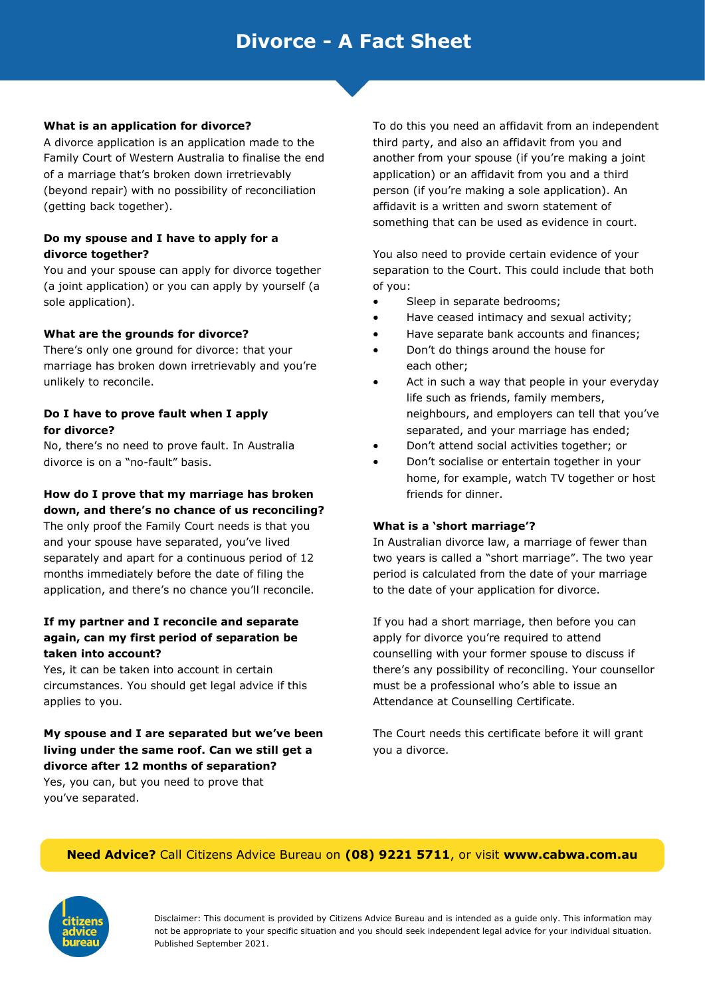# **Divorce - A Fact Sheet**

### **What is an application for divorce?**

A divorce application is an application made to the Family Court of Western Australia to finalise the end of a marriage that's broken down irretrievably (beyond repair) with no possibility of reconciliation (getting back together).

### **Do my spouse and I have to apply for a divorce together?**

You and your spouse can apply for divorce together (a joint application) or you can apply by yourself (a sole application).

#### **What are the grounds for divorce?**

There's only one ground for divorce: that your marriage has broken down irretrievably and you're unlikely to reconcile.

### **Do I have to prove fault when I apply for divorce?**

No, there's no need to prove fault. In Australia divorce is on a "no-fault" basis.

### **How do I prove that my marriage has broken down, and there's no chance of us reconciling?**

The only proof the Family Court needs is that you and your spouse have separated, you've lived separately and apart for a continuous period of 12 months immediately before the date of filing the application, and there's no chance you'll reconcile.

### **If my partner and I reconcile and separate again, can my first period of separation be taken into account?**

Yes, it can be taken into account in certain circumstances. You should get legal advice if this applies to you.

# **My spouse and I are separated but we've been living under the same roof. Can we still get a divorce after 12 months of separation?**

Yes, you can, but you need to prove that you've separated.

To do this you need an affidavit from an independent third party, and also an affidavit from you and another from your spouse (if you're making a joint application) or an affidavit from you and a third person (if you're making a sole application). An affidavit is a written and sworn statement of something that can be used as evidence in court.

You also need to provide certain evidence of your separation to the Court. This could include that both of you:

- Sleep in separate bedrooms;
- Have ceased intimacy and sexual activity;
- Have separate bank accounts and finances;
- Don't do things around the house for each other;
- Act in such a way that people in your everyday life such as friends, family members, neighbours, and employers can tell that you've separated, and your marriage has ended;
- Don't attend social activities together; or
- Don't socialise or entertain together in your home, for example, watch TV together or host friends for dinner.

#### **What is a 'short marriage'?**

In Australian divorce law, a marriage of fewer than two years is called a "short marriage". The two year period is calculated from the date of your marriage to the date of your application for divorce.

If you had a short marriage, then before you can apply for divorce you're required to attend counselling with your former spouse to discuss if there's any possibility of reconciling. Your counsellor must be a professional who's able to issue an Attendance at Counselling Certificate.

The Court needs this certificate before it will grant you a divorce.

### **Need Advice?** Call Citizens Advice Bureau on **(08) 9221 5711**, or visit **www.cabwa.com.au**



Disclaimer: This document is provided by Citizens Advice Bureau and is intended as a guide only. This information may not be appropriate to your specific situation and you should seek independent legal advice for your individual situation. Published September 2021.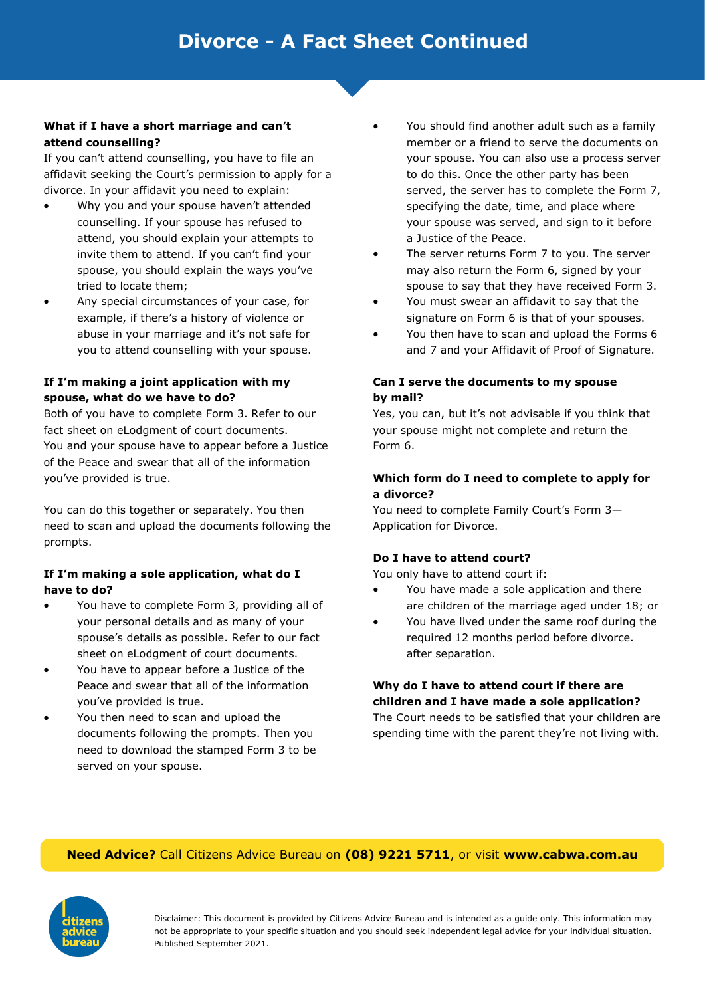### **What if I have a short marriage and can't attend counselling?**

If you can't attend counselling, you have to file an affidavit seeking the Court's permission to apply for a divorce. In your affidavit you need to explain:

- Why you and your spouse haven't attended counselling. If your spouse has refused to attend, you should explain your attempts to invite them to attend. If you can't find your spouse, you should explain the ways you've tried to locate them;
- Any special circumstances of your case, for example, if there's a history of violence or abuse in your marriage and it's not safe for you to attend counselling with your spouse.

# **If I'm making a joint application with my spouse, what do we have to do?**

Both of you have to complete Form 3. Refer to our fact sheet on eLodgment of court documents. You and your spouse have to appear before a Justice of the Peace and swear that all of the information you've provided is true.

You can do this together or separately. You then need to scan and upload the documents following the prompts.

# **If I'm making a sole application, what do I have to do?**

- You have to complete Form 3, providing all of your personal details and as many of your spouse's details as possible. Refer to our fact sheet on eLodgment of court documents.
- You have to appear before a Justice of the Peace and swear that all of the information you've provided is true.
- You then need to scan and upload the documents following the prompts. Then you need to download the stamped Form 3 to be served on your spouse.
- You should find another adult such as a family member or a friend to serve the documents on your spouse. You can also use a process server to do this. Once the other party has been served, the server has to complete the Form 7, specifying the date, time, and place where your spouse was served, and sign to it before a Justice of the Peace.
- The server returns Form 7 to you. The server may also return the Form 6, signed by your spouse to say that they have received Form 3.
- You must swear an affidavit to say that the signature on Form 6 is that of your spouses.
- You then have to scan and upload the Forms 6 and 7 and your Affidavit of Proof of Signature.

# **Can I serve the documents to my spouse by mail?**

Yes, you can, but it's not advisable if you think that your spouse might not complete and return the Form 6.

# **Which form do I need to complete to apply for a divorce?**

You need to complete Family Court's Form 3— Application for Divorce.

# **Do I have to attend court?**

You only have to attend court if:

- You have made a sole application and there are children of the marriage aged under 18; or
- You have lived under the same roof during the required 12 months period before divorce. after separation.

# **Why do I have to attend court if there are children and I have made a sole application?**

The Court needs to be satisfied that your children are spending time with the parent they're not living with.

# **Need Advice?** Call Citizens Advice Bureau on **(08) 9221 5711**, or visit **www.cabwa.com.au**



Disclaimer: This document is provided by Citizens Advice Bureau and is intended as a guide only. This information may not be appropriate to your specific situation and you should seek independent legal advice for your individual situation. Published September 2021.